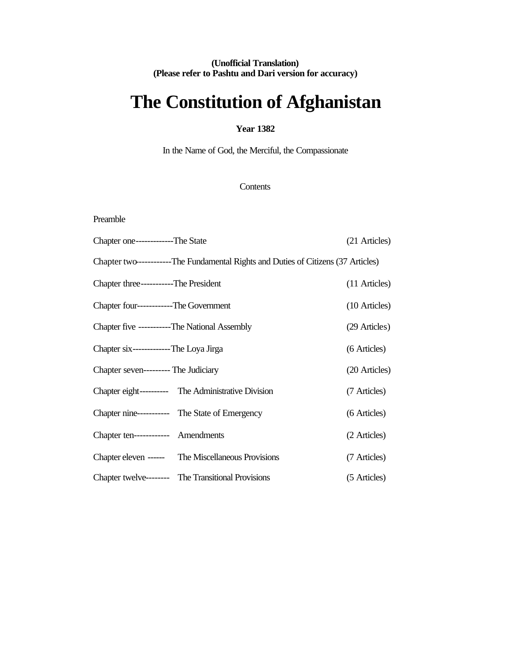**(Unofficial Translation) (Please refer to Pashtu and Dari version for accuracy)**

# **The Constitution of Afghanistan**

# **Year 1382**

In the Name of God, the Merciful, the Compassionate

### **Contents**

| Preamble                               |                                                                                   |               |
|----------------------------------------|-----------------------------------------------------------------------------------|---------------|
| Chapter one-------------The State      |                                                                                   | (21 Articles) |
|                                        | Chapter two-----------The Fundamental Rights and Duties of Citizens (37 Articles) |               |
| Chapter three-----------The President  |                                                                                   | (11 Articles) |
| Chapter four------------The Government |                                                                                   | (10 Articles) |
|                                        | Chapter five ----------The National Assembly                                      | (29 Articles) |
| Chapter six-------------The Loya Jirga |                                                                                   | (6 Articles)  |
| Chapter seven---------- The Judiciary  |                                                                                   | (20 Articles) |
|                                        | Chapter eight---------- The Administrative Division                               | (7 Articles)  |
|                                        | Chapter nine----------- The State of Emergency                                    | (6 Articles)  |
| Chapter ten------------ Amendments     |                                                                                   | (2 Articles)  |
|                                        | Chapter eleven ------ The Miscellaneous Provisions                                | (7 Articles)  |
|                                        | Chapter twelve-------- The Transitional Provisions                                | (5 Articles)  |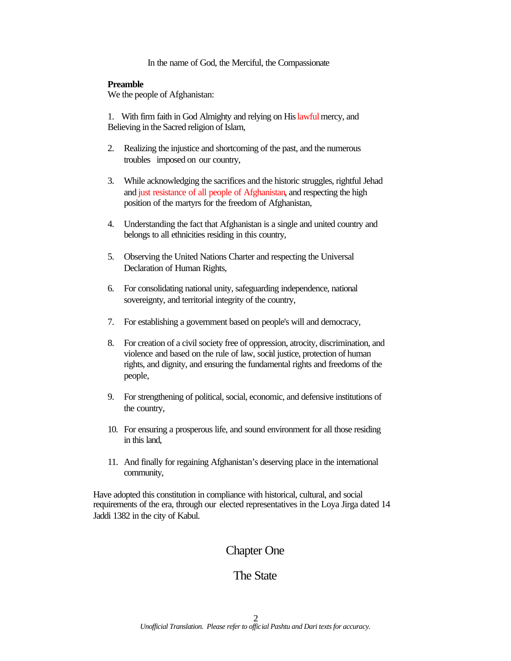In the name of God, the Merciful, the Compassionate

### **Preamble**

We the people of Afghanistan:

1. With firm faith in God Almighty and relying on His lawful mercy, and Believing in the Sacred religion of Islam,

- 2. Realizing the injustice and shortcoming of the past, and the numerous troubles imposed on our country,
- 3. While acknowledging the sacrifices and the historic struggles, rightful Jehad and just resistance of all people of Afghanistan, and respecting the high position of the martyrs for the freedom of Afghanistan,
- 4. Understanding the fact that Afghanistan is a single and united country and belongs to all ethnicities residing in this country,
- 5. Observing the United Nations Charter and respecting the Universal Declaration of Human Rights,
- 6. For consolidating national unity, safeguarding independence, national sovereignty, and territorial integrity of the country,
- 7. For establishing a government based on people's will and democracy,
- 8. For creation of a civil society free of oppression, atrocity, discrimination, and violence and based on the rule of law, social justice, protection of human rights, and dignity, and ensuring the fundamental rights and freedoms of the people,
- 9. For strengthening of political, social, economic, and defensive institutions of the country,
- 10. For ensuring a prosperous life, and sound environment for all those residing in this land,
- 11. And finally for regaining Afghanistan's deserving place in the international community,

Have adopted this constitution in compliance with historical, cultural, and social requirements of the era, through our elected representatives in the Loya Jirga dated 14 Jaddi 1382 in the city of Kabul.

# Chapter One

# The State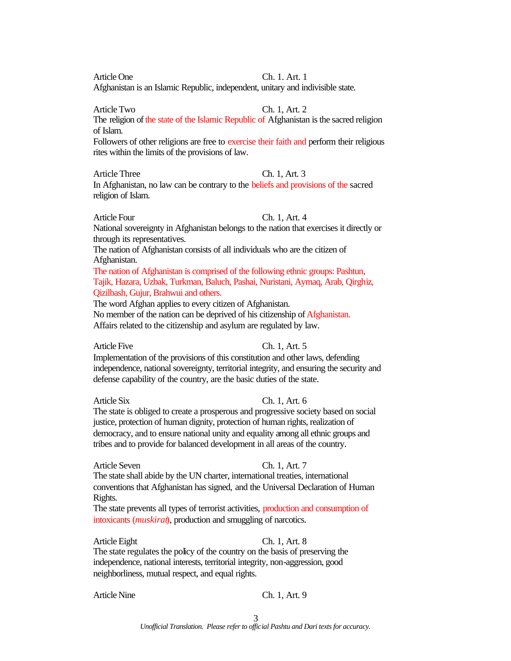Article One Ch. 1. Art. 1 Afghanistan is an Islamic Republic, independent, unitary and indivisible state.

### Article Two Ch. 1, Art. 2

The religion of the state of the Islamic Republic of Afghanistan is the sacred religion of Islam.

Followers of other religions are free to exercise their faith and perform their religious rites within the limits of the provisions of law.

Article Three Ch. 1, Art. 3

In Afghanistan, no law can be contrary to the beliefs and provisions of the sacred religion of Islam.

# Article Four Ch. 1, Art. 4

National sovereignty in Afghanistan belongs to the nation that exercises it directly or through its representatives.

The nation of Afghanistan consists of all individuals who are the citizen of Afghanistan.

The nation of Afghanistan is comprised of the following ethnic groups: Pashtun, Tajik, Hazara, Uzbak, Turkman, Baluch, Pashai, Nuristani, Aymaq, Arab, Qirghiz, Qizilbash, Gujur, Brahwui and others.

The word Afghan applies to every citizen of Afghanistan. No member of the nation can be deprived of his citizenship of Afghanistan. Affairs related to the citizenship and asylum are regulated by law.

Article Five Ch. 1, Art. 5 Implementation of the provisions of this constitution and other laws, defending independence, national sovereignty, territorial integrity, and ensuring the security and defense capability of the country, are the basic duties of the state.

Article Six Ch. 1, Art. 6 The state is obliged to create a prosperous and progressive society based on social justice, protection of human dignity, protection of human rights, realization of democracy, and to ensure national unity and equality among all ethnic groups and tribes and to provide for balanced development in all areas of the country.

Article Seven Ch. 1, Art. 7 The state shall abide by the UN charter, international treaties, international conventions that Afghanistan has signed, and the Universal Declaration of Human Rights.

The state prevents all types of terrorist activities, production and consumption of intoxicants (*muskirat*), production and smuggling of narcotics.

Article Eight Ch. 1, Art. 8 The state regulates the policy of the country on the basis of preserving the independence, national interests, territorial integrity, non-aggression, good neighborliness, mutual respect, and equal rights.

Article Nine Ch. 1, Art. 9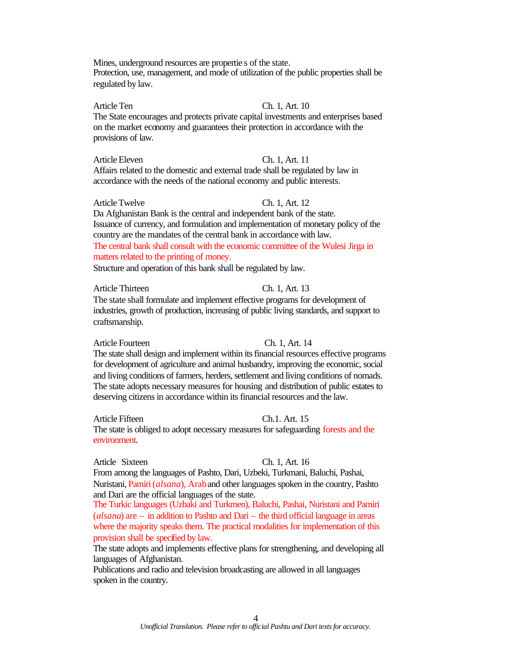Mines, underground resources are propertie s of the state. Protection, use, management, and mode of utilization of the public properties shall be regulated by law.

Article Ten Ch. 1, Art. 10 The State encourages and protects private capital investments and enterprises based on the market economy and guarantees their protection in accordance with the provisions of law.

Article Eleven Ch. 1, Art. 11 Affairs related to the domestic and external trade shall be regulated by law in accordance with the needs of the national economy and public interests.

Article Twelve Ch. 1, Art. 12 Da Afghanistan Bank is the central and independent bank of the state. Issuance of currency, and formulation and implementation of monetary policy of the country are the mandates of the central bank in accordance with law. The central bank shall consult with the economic committee of the Wulesi Jirga in matters related to the printing of money. Structure and operation of this bank shall be regulated by law.

Article Thirteen Ch. 1, Art. 13 The state shall formulate and implement effective programs for development of industries, growth of production, increasing of public living standards, and support to craftsmanship.

Article Fourteen Ch. 1, Art. 14 The state shall design and implement within its financial resources effective programs for development of agriculture and animal husbandry, improving the economic, social and living conditions of farmers, herders, settlement and living conditions of nomads. The state adopts necessary measures for housing and distribution of public estates to deserving citizens in accordance within its financial resources and the law.

Article Fifteen Ch.1. Art. 15 The state is obliged to adopt necessary measures for safeguarding forests and the environment.

Article Sixteen Ch. 1, Art. 16 From among the languages of Pashto, Dari, Uzbeki, Turkmani, Baluchi, Pashai, Nuristani, Pamiri (*alsana*), Arab and other languages spoken in the country, Pashto and Dari are the official languages of the state.

The Turkic languages (Uzbaki and Turkmen), Baluchi, Pashai, Nuristani and Pamiri (*alsana*) are – in addition to Pashto and Dari – the third official language in areas where the majority speaks them. The practical modalities for implementation of this provision shall be specified by law.

The state adopts and implements effective plans for strengthening, and developing all languages of Afghanistan.

Publications and radio and television broadcasting are allowed in all languages spoken in the country.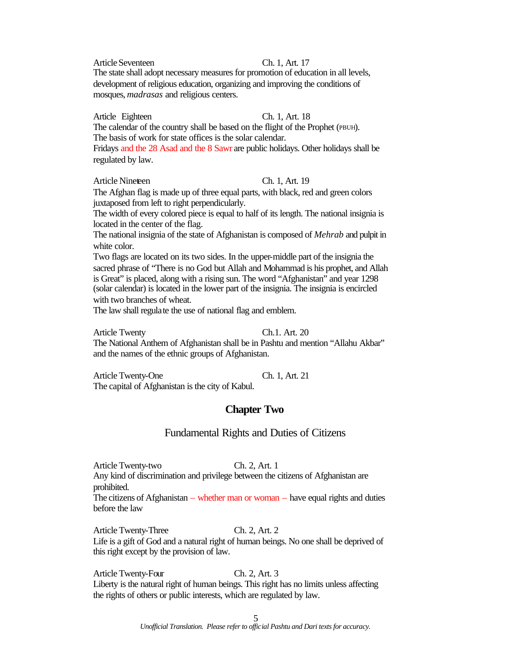Article Seventeen Ch. 1, Art. 17 The state shall adopt necessary measures for promotion of education in all levels, development of religious education, organizing and improving the conditions of mosques, *madrasas* and religious centers.

Article Eighteen Ch. 1, Art. 18 The calendar of the country shall be based on the flight of the Prophet (PBUH). The basis of work for state offices is the solar calendar. Fridays and the 28 Asad and the 8 Sawr are public holidays. Other holidays shall be regulated by law.

Article Nineteen Ch. 1, Art. 19

The Afghan flag is made up of three equal parts, with black, red and green colors juxtaposed from left to right perpendicularly.

The width of every colored piece is equal to half of its length. The national insignia is located in the center of the flag.

The national insignia of the state of Afghanistan is composed of *Mehrab* and pulpit in white color.

Two flags are located on its two sides. In the upper-middle part of the insignia the sacred phrase of "There is no God but Allah and Mohammad is his prophet, and Allah is Great" is placed, along with a rising sun. The word "Afghanistan" and year 1298 (solar calendar) is located in the lower part of the insignia. The insignia is encircled with two branches of wheat.

The law shall regulate the use of national flag and emblem.

Article Twenty Ch.1. Art. 20 The National Anthem of Afghanistan shall be in Pashtu and mention "Allahu Akbar" and the names of the ethnic groups of Afghanistan.

Article Twenty-One Ch. 1, Art. 21 The capital of Afghanistan is the city of Kabul.

# **Chapter Two**

# Fundamental Rights and Duties of Citizens

Article Twenty-two Ch. 2, Art. 1 Any kind of discrimination and privilege between the citizens of Afghanistan are prohibited. The citizens of Afghanistan – whether man or woman – have equal rights and duties before the law

Article Twenty-Three Ch. 2, Art. 2 Life is a gift of God and a natural right of human beings. No one shall be deprived of this right except by the provision of law.

Article Twenty-Four Ch. 2, Art. 3 Liberty is the natural right of human beings. This right has no limits unless affecting the rights of others or public interests, which are regulated by law.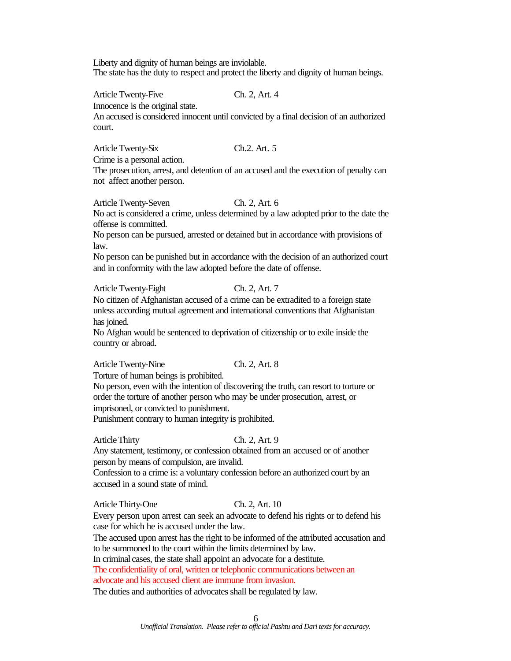Liberty and dignity of human beings are inviolable. The state has the duty to respect and protect the liberty and dignity of human beings.

Article Twenty-Five Ch. 2, Art. 4

Innocence is the original state.

An accused is considered innocent until convicted by a final decision of an authorized court.

Article Twenty-Six Ch.2. Art. 5

Crime is a personal action.

The prosecution, arrest, and detention of an accused and the execution of penalty can not affect another person.

Article Twenty-Seven Ch. 2, Art. 6

No act is considered a crime, unless determined by a law adopted prior to the date the offense is committed.

No person can be pursued, arrested or detained but in accordance with provisions of law.

No person can be punished but in accordance with the decision of an authorized court and in conformity with the law adopted before the date of offense.

Article Twenty-Eight Ch. 2, Art. 7

No citizen of Afghanistan accused of a crime can be extradited to a foreign state unless according mutual agreement and international conventions that Afghanistan

has joined.

No Afghan would be sentenced to deprivation of citizenship or to exile inside the country or abroad.

Article Twenty-Nine Ch. 2, Art. 8

Torture of human beings is prohibited.

No person, even with the intention of discovering the truth, can resort to torture or order the torture of another person who may be under prosecution, arrest, or imprisoned, or convicted to punishment.

Punishment contrary to human integrity is prohibited.

### Article Thirty Ch. 2, Art. 9

Any statement, testimony, or confession obtained from an accused or of another person by means of compulsion, are invalid.

Confession to a crime is: a voluntary confession before an authorized court by an accused in a sound state of mind.

Article Thirty-One Ch. 2, Art. 10

Every person upon arrest can seek an advocate to defend his rights or to defend his case for which he is accused under the law.

The accused upon arrest has the right to be informed of the attributed accusation and to be summoned to the court within the limits determined by law.

In criminal cases, the state shall appoint an advocate for a destitute.

The confidentiality of oral, written or telephonic communications between an advocate and his accused client are immune from invasion.

The duties and authorities of advocates shall be regulated by law.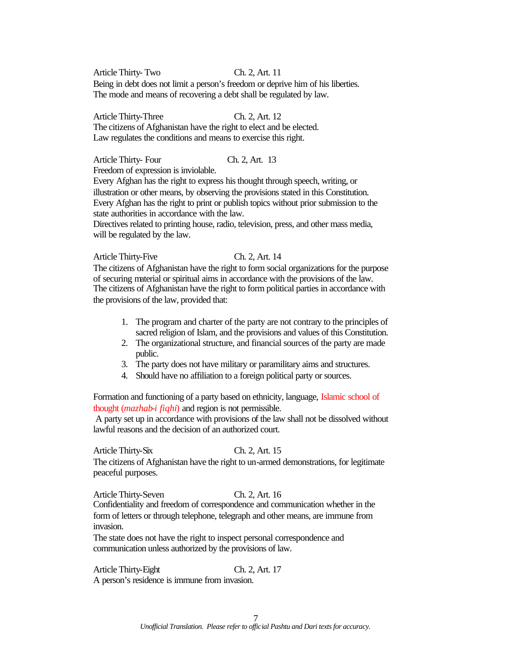Article Thirty- Two Ch. 2, Art. 11 Being in debt does not limit a person's freedom or deprive him of his liberties. The mode and means of recovering a debt shall be regulated by law.

Article Thirty-Three Ch. 2, Art. 12 The citizens of Afghanistan have the right to elect and be elected. Law regulates the conditions and means to exercise this right.

Article Thirty-Four Ch. 2, Art. 13 Freedom of expression is inviolable. Every Afghan has the right to express his thought through speech, writing, or illustration or other means, by observing the provisions stated in this Constitution. Every Afghan has the right to print or publish topics without prior submission to the state authorities in accordance with the law.

Directives related to printing house, radio, television, press, and other mass media, will be regulated by the law.

### Article Thirty-Five Ch. 2, Art. 14

The citizens of Afghanistan have the right to form social organizations for the purpose of securing material or spiritual aims in accordance with the provisions of the law. The citizens of Afghanistan have the right to form political parties in accordance with the provisions of the law, provided that:

- 1. The program and charter of the party are not contrary to the principles of sacred religion of Islam, and the provisions and values of this Constitution.
- 2. The organizational structure, and financial sources of the party are made public.
- 3. The party does not have military or paramilitary aims and structures.
- 4. Should have no affiliation to a foreign political party or sources.

Formation and functioning of a party based on ethnicity, language, Islamic school of thought (*mazhab-i fiqhi*) and region is not permissible.

 A party set up in accordance with provisions of the law shall not be dissolved without lawful reasons and the decision of an authorized court.

Article Thirty-Six Ch. 2, Art. 15

The citizens of Afghanistan have the right to un-armed demonstrations, for legitimate peaceful purposes.

Article Thirty-Seven Ch. 2, Art. 16 Confidentiality and freedom of correspondence and communication whether in the form of letters or through telephone, telegraph and other means, are immune from invasion.

The state does not have the right to inspect personal correspondence and communication unless authorized by the provisions of law.

Article Thirty-Eight Ch. 2, Art. 17 A person's residence is immune from invasion.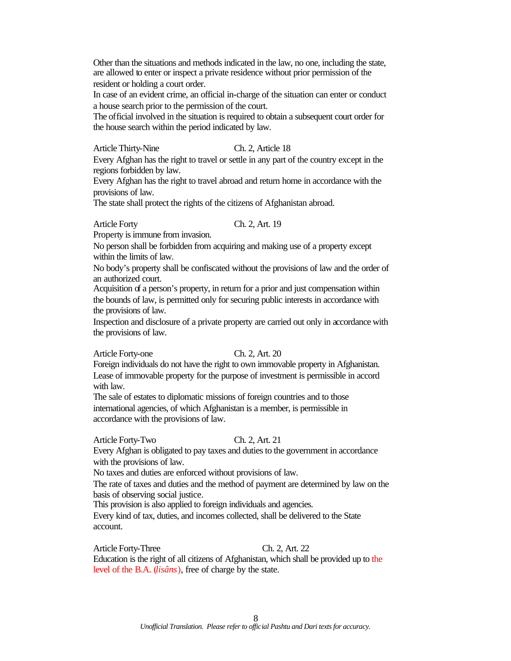Other than the situations and methods indicated in the law, no one, including the state, are allowed to enter or inspect a private residence without prior permission of the resident or holding a court order.

In case of an evident crime, an official in-charge of the situation can enter or conduct a house search prior to the permission of the court.

The official involved in the situation is required to obtain a subsequent court order for the house search within the period indicated by law.

Article Thirty-Nine Ch. 2, Article 18

Every Afghan has the right to travel or settle in any part of the country except in the regions forbidden by law.

Every Afghan has the right to travel abroad and return home in accordance with the provisions of law.

The state shall protect the rights of the citizens of Afghanistan abroad.

Article Forty Ch. 2, Art. 19

Property is immune from invasion.

No person shall be forbidden from acquiring and making use of a property except within the limits of law.

No body's property shall be confiscated without the provisions of law and the order of an authorized court.

Acquisition of a person's property, in return for a prior and just compensation within the bounds of law, is permitted only for securing public interests in accordance with the provisions of law.

Inspection and disclosure of a private property are carried out only in accordance with the provisions of law.

# Article Forty-one Ch. 2, Art. 20

Foreign individuals do not have the right to own immovable property in Afghanistan. Lease of immovable property for the purpose of investment is permissible in accord with law.

The sale of estates to diplomatic missions of foreign countries and to those international agencies, of which Afghanistan is a member, is permissible in accordance with the provisions of law.

### Article Forty-Two Ch. 2, Art. 21

Every Afghan is obligated to pay taxes and duties to the government in accordance with the provisions of law.

No taxes and duties are enforced without provisions of law.

The rate of taxes and duties and the method of payment are determined by law on the basis of observing social justice.

This provision is also applied to foreign individuals and agencies.

Every kind of tax, duties, and incomes collected, shall be delivered to the State account.

Article Forty-Three Ch. 2, Art. 22 Education is the right of all citizens of Afghanistan, which shall be provided up to the level of the B.A. (*lisâns*), free of charge by the state.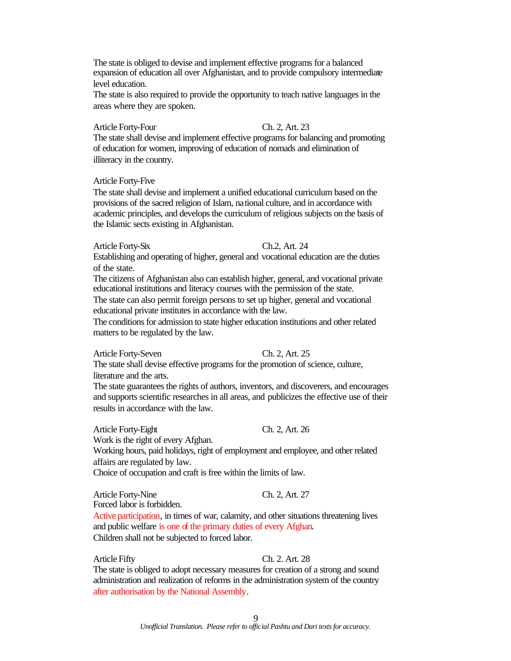The state is obliged to devise and implement effective programs for a balanced expansion of education all over Afghanistan, and to provide compulsory intermediate level education.

The state is also required to provide the opportunity to teach native languages in the areas where they are spoken.

Article Forty-Four Ch. 2, Art. 23 The state shall devise and implement effective programs for balancing and promoting of education for women, improving of education of nomads and elimination of illiteracy in the country.

### Article Forty-Five

The state shall devise and implement a unified educational curriculum based on the provisions of the sacred religion of Islam, national culture, and in accordance with academic principles, and develops the curriculum of religious subjects on the basis of the Islamic sects existing in Afghanistan.

### Article Forty-Six Ch.2, Art. 24

Establishing and operating of higher, general and vocational education are the duties of the state.

The citizens of Afghanistan also can establish higher, general, and vocational private educational institutions and literacy courses with the permission of the state.

The state can also permit foreign persons to set up higher, general and vocational educational private institutes in accordance with the law.

The conditions for admission to state higher education institutions and other related matters to be regulated by the law.

# Article Forty-Seven Ch. 2, Art. 25

The state shall devise effective programs for the promotion of science, culture, literature and the arts.

The state guarantees the rights of authors, inventors, and discoverers, and encourages and supports scientific researches in all areas, and publicizes the effective use of their results in accordance with the law.

Article Forty-Eight Ch. 2, Art. 26

Work is the right of every Afghan.

Working hours, paid holidays, right of employment and employee, and other related affairs are regulated by law.

Choice of occupation and craft is free within the limits of law.

Article Forty-Nine Ch. 2, Art. 27

Forced labor is forbidden.

Active participation, in times of war, calamity, and other situations threatening lives and public welfare is one of the primary duties of every Afghan. Children shall not be subjected to forced labor.

### Article Fifty Ch. 2. Art. 28

The state is obliged to adopt necessary measures for creation of a strong and sound administration and realization of reforms in the administration system of the country after authorisation by the National Assembly.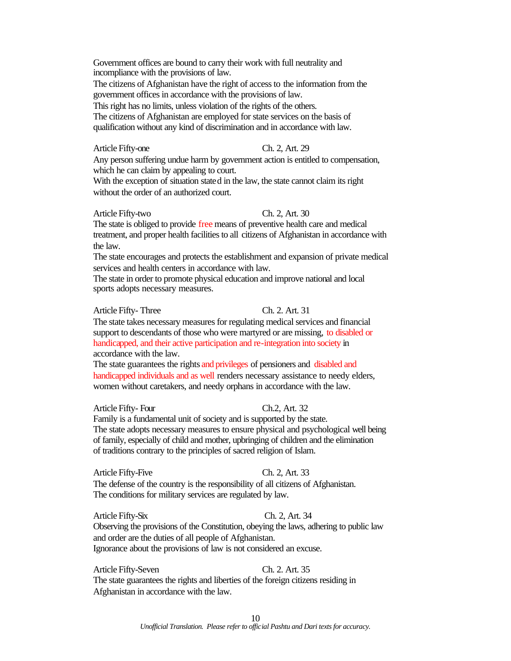Government offices are bound to carry their work with full neutrality and incompliance with the provisions of law.

The citizens of Afghanistan have the right of access to the information from the government offices in accordance with the provisions of law. This right has no limits, unless violation of the rights of the others.

The citizens of Afghanistan are employed for state services on the basis of qualification without any kind of discrimination and in accordance with law.

# Article Fifty-one Ch. 2, Art. 29

Any person suffering undue harm by government action is entitled to compensation, which he can claim by appealing to court.

With the exception of situation stated in the law, the state cannot claim its right without the order of an authorized court.

### Article Fifty-two Ch. 2, Art. 30

The state is obliged to provide free means of preventive health care and medical treatment, and proper health facilities to all citizens of Afghanistan in accordance with the law.

The state encourages and protects the establishment and expansion of private medical services and health centers in accordance with law.

The state in order to promote physical education and improve national and local sports adopts necessary measures.

### Article Fifty-Three Ch. 2. Art. 31

The state takes necessary measures for regulating medical services and financial support to descendants of those who were martyred or are missing, to disabled or handicapped, and their active participation and re-integration into society in accordance with the law.

The state guarantees the rights and privileges of pensioners and disabled and handicapped individuals and as well renders necessary assistance to needy elders, women without caretakers, and needy orphans in accordance with the law.

Article Fifty- Four Ch.2, Art. 32 Family is a fundamental unit of society and is supported by the state. The state adopts necessary measures to ensure physical and psychological well being of family, especially of child and mother, upbringing of children and the elimination of traditions contrary to the principles of sacred religion of Islam.

Article Fifty-Five Ch. 2, Art. 33 The defense of the country is the responsibility of all citizens of Afghanistan. The conditions for military services are regulated by law.

Article Fifty-Six Ch. 2, Art. 34 Observing the provisions of the Constitution, obeying the laws, adhering to public law and order are the duties of all people of Afghanistan. Ignorance about the provisions of law is not considered an excuse.

Article Fifty-Seven Ch. 2. Art. 35 The state guarantees the rights and liberties of the foreign citizens residing in Afghanistan in accordance with the law.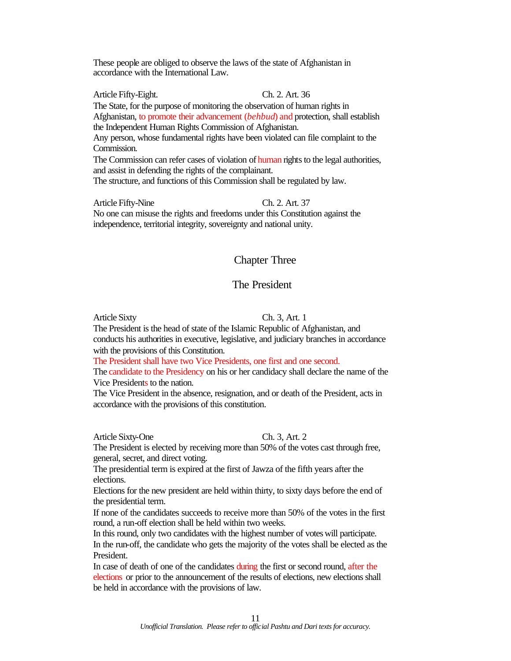These people are obliged to observe the laws of the state of Afghanistan in accordance with the International Law.

Article Fifty-Eight. Ch. 2. Art. 36 The State, for the purpose of monitoring the observation of human rights in Afghanistan, to promote their advancement (*behbud*) and protection, shall establish the Independent Human Rights Commission of Afghanistan. Any person, whose fundamental rights have been violated can file complaint to the Commission. The Commission can refer cases of violation of human rights to the legal authorities, and assist in defending the rights of the complainant. The structure, and functions of this Commission shall be regulated by law.

Article Fifty-Nine Ch. 2. Art. 37 No one can misuse the rights and freedoms under this Constitution against the independence, territorial integrity, sovereignty and national unity.

# Chapter Three

# The President

### Article Sixty Ch. 3, Art. 1

The President is the head of state of the Islamic Republic of Afghanistan, and conducts his authorities in executive, legislative, and judiciary branches in accordance with the provisions of this Constitution.

The President shall have two Vice Presidents, one first and one second.

The candidate to the Presidency on his or her candidacy shall declare the name of the Vice Presidents to the nation.

The Vice President in the absence, resignation, and or death of the President, acts in accordance with the provisions of this constitution.

Article Sixty-One Ch. 3, Art. 2

The President is elected by receiving more than 50% of the votes cast through free, general, secret, and direct voting.

The presidential term is expired at the first of Jawza of the fifth years after the elections.

Elections for the new president are held within thirty, to sixty days before the end of the presidential term.

If none of the candidates succeeds to receive more than 50% of the votes in the first round, a run-off election shall be held within two weeks.

In this round, only two candidates with the highest number of votes will participate. In the run-off, the candidate who gets the majority of the votes shall be elected as the President.

In case of death of one of the candidates during the first or second round, after the elections or prior to the announcement of the results of elections, new elections shall be held in accordance with the provisions of law.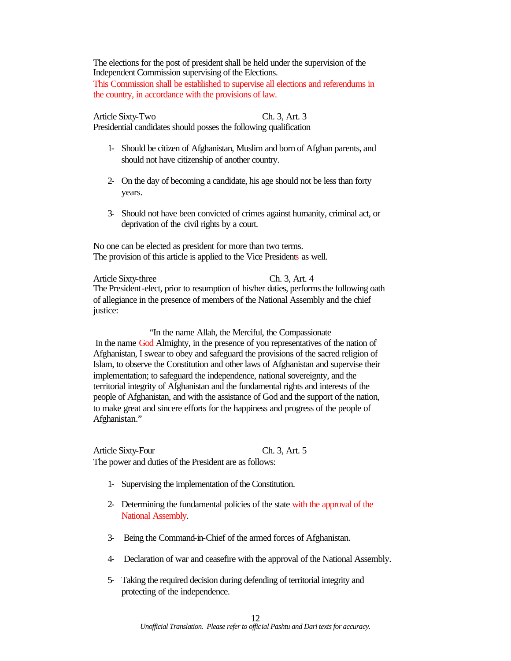The elections for the post of president shall be held under the supervision of the Independent Commission supervising of the Elections.

This Commission shall be established to supervise all elections and referendums in the country, in accordance with the provisions of law.

Article Sixty-Two Ch. 3, Art. 3 Presidential candidates should posses the following qualification

- 1- Should be citizen of Afghanistan, Muslim and born of Afghan parents, and should not have citizenship of another country.
- 2- On the day of becoming a candidate, his age should not be less than forty years.
- 3- Should not have been convicted of crimes against humanity, criminal act, or deprivation of the civil rights by a court.

No one can be elected as president for more than two terms. The provision of this article is applied to the Vice Presidents as well.

Article Sixty-three Ch. 3, Art. 4 The President-elect, prior to resumption of his/her duties, performs the following oath of allegiance in the presence of members of the National Assembly and the chief justice:

"In the name Allah, the Merciful, the Compassionate In the name God Almighty, in the presence of you representatives of the nation of Afghanistan, I swear to obey and safeguard the provisions of the sacred religion of Islam, to observe the Constitution and other laws of Afghanistan and supervise their implementation; to safeguard the independence, national sovereignty, and the territorial integrity of Afghanistan and the fundamental rights and interests of the people of Afghanistan, and with the assistance of God and the support of the nation, to make great and sincere efforts for the happiness and progress of the people of Afghanistan."

Article Sixty-Four Ch. 3, Art. 5 The power and duties of the President are as follows:

- 1- Supervising the implementation of the Constitution.
- 2- Determining the fundamental policies of the state with the approval of the National Assembly.
- 3- Being the Command-in-Chief of the armed forces of Afghanistan.
- 4- Declaration of war and ceasefire with the approval of the National Assembly.
- 5- Taking the required decision during defending of territorial integrity and protecting of the independence.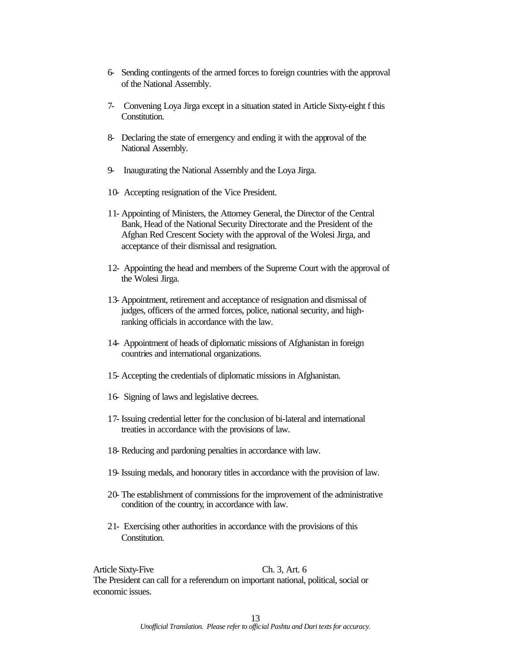- 6- Sending contingents of the armed forces to foreign countries with the approval of the National Assembly.
- 7- Convening Loya Jirga except in a situation stated in Article Sixty-eight f this Constitution.
- 8- Declaring the state of emergency and ending it with the approval of the National Assembly.
- 9- Inaugurating the National Assembly and the Loya Jirga.
- 10- Accepting resignation of the Vice President.
- 11- Appointing of Ministers, the Attorney General, the Director of the Central Bank, Head of the National Security Directorate and the President of the Afghan Red Crescent Society with the approval of the Wolesi Jirga, and acceptance of their dismissal and resignation.
- 12- Appointing the head and members of the Supreme Court with the approval of the Wolesi Jirga.
- 13- Appointment, retirement and acceptance of resignation and dismissal of judges, officers of the armed forces, police, national security, and highranking officials in accordance with the law.
- 14- Appointment of heads of diplomatic missions of Afghanistan in foreign countries and international organizations.
- 15- Accepting the credentials of diplomatic missions in Afghanistan.
- 16- Signing of laws and legislative decrees.
- 17- Issuing credential letter for the conclusion of bi-lateral and international treaties in accordance with the provisions of law.
- 18- Reducing and pardoning penalties in accordance with law.
- 19- Issuing medals, and honorary titles in accordance with the provision of law.
- 20- The establishment of commissions for the improvement of the administrative condition of the country, in accordance with law.
- 21- Exercising other authorities in accordance with the provisions of this Constitution.

Article Sixty-Five Ch. 3, Art. 6 The President can call for a referendum on important national, political, social or economic issues.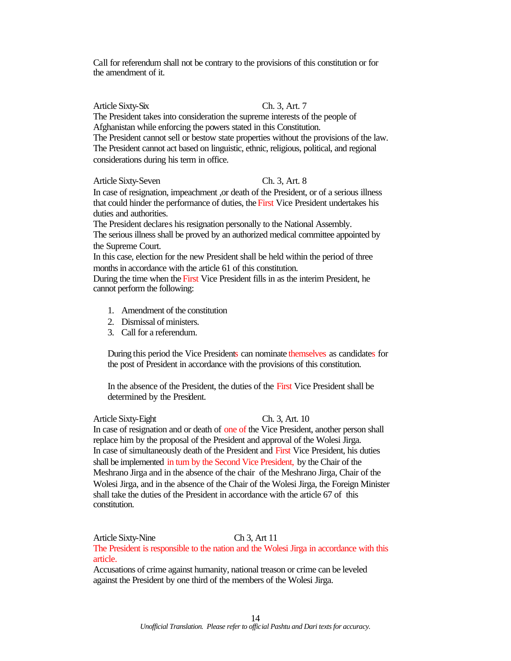Call for referendum shall not be contrary to the provisions of this constitution or for the amendment of it.

Article Sixty-Six Ch. 3, Art. 7 The President takes into consideration the supreme interests of the people of Afghanistan while enforcing the powers stated in this Constitution. The President cannot sell or bestow state properties without the provisions of the law. The President cannot act based on linguistic, ethnic, religious, political, and regional considerations during his term in office.

Article Sixty-Seven Ch. 3, Art. 8

In case of resignation, impeachment ,or death of the President, or of a serious illness that could hinder the performance of duties, the First Vice President undertakes his duties and authorities.

The President declares his resignation personally to the National Assembly.

The serious illness shall be proved by an authorized medical committee appointed by the Supreme Court.

In this case, election for the new President shall be held within the period of three months in accordance with the article 61 of this constitution.

During the time when the First Vice President fills in as the interim President, he cannot perform the following:

- 1. Amendment of the constitution
- 2. Dismissal of ministers.
- 3. Call for a referendum.

During this period the Vice Presidents can nominate themselves as candidates for the post of President in accordance with the provisions of this constitution.

In the absence of the President, the duties of the First Vice President shall be determined by the President.

### Article Sixty-Eight Ch. 3, Art. 10 In case of resignation and or death of one of the Vice President, another person shall replace him by the proposal of the President and approval of the Wolesi Jirga. In case of simultaneously death of the President and First Vice President, his duties shall be implemented in turn by the Second Vice President, by the Chair of the Meshrano Jirga and in the absence of the chair of the Meshrano Jirga, Chair of the Wolesi Jirga, and in the absence of the Chair of the Wolesi Jirga, the Foreign Minister shall take the duties of the President in accordance with the article 67 of this constitution.

### Article Sixty-Nine Ch 3, Art 11 The President is responsible to the nation and the Wolesi Jirga in accordance with this article.

Accusations of crime against humanity, national treason or crime can be leveled against the President by one third of the members of the Wolesi Jirga.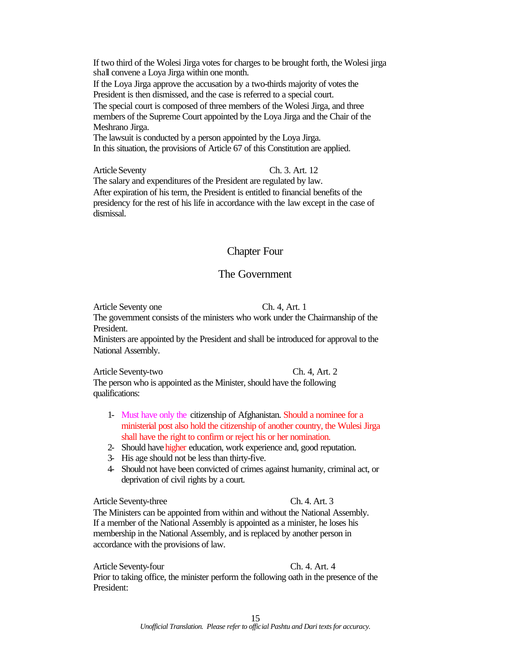If two third of the Wolesi Jirga votes for charges to be brought forth, the Wolesi jirga shall convene a Loya Jirga within one month. If the Loya Jirga approve the accusation by a two-thirds majority of votes the President is then dismissed, and the case is referred to a special court. The special court is composed of three members of the Wolesi Jirga, and three members of the Supreme Court appointed by the Loya Jirga and the Chair of the Meshrano Jirga. The lawsuit is conducted by a person appointed by the Loya Jirga.

In this situation, the provisions of Article 67 of this Constitution are applied.

Article Seventy Ch. 3. Art. 12 The salary and expenditures of the President are regulated by law. After expiration of his term, the President is entitled to financial benefits of the presidency for the rest of his life in accordance with the law except in the case of dismissal.

# Chapter Four

# The Government

Article Seventy one Ch. 4, Art. 1 The government consists of the ministers who work under the Chairmanship of the President.

Ministers are appointed by the President and shall be introduced for approval to the National Assembly.

Article Seventy-two Ch. 4, Art. 2 The person who is appointed as the Minister, should have the following qualifications:

- 1- Must have only the citizenship of Afghanistan. Should a nominee for a ministerial post also hold the citizenship of another country, the Wulesi Jirga shall have the right to confirm or reject his or her nomination.
- 2- Should have higher education, work experience and, good reputation.
- 3- His age should not be less than thirty-five.
- 4- Should not have been convicted of crimes against humanity, criminal act, or deprivation of civil rights by a court.

Article Seventy-three Ch. 4. Art. 3 The Ministers can be appointed from within and without the National Assembly. If a member of the National Assembly is appointed as a minister, he loses his membership in the National Assembly, and is replaced by another person in accordance with the provisions of law.

Article Seventy-four Ch. 4. Art. 4 Prior to taking office, the minister perform the following oath in the presence of the President: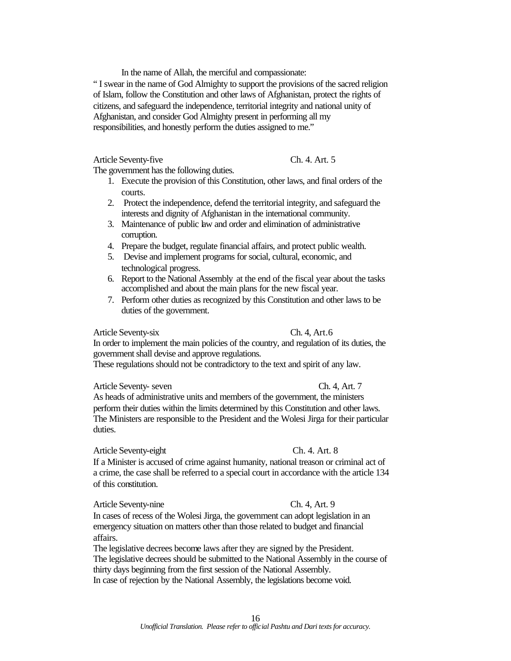In the name of Allah, the merciful and compassionate:

" I swear in the name of God Almighty to support the provisions of the sacred religion of Islam, follow the Constitution and other laws of Afghanistan, protect the rights of citizens, and safeguard the independence, territorial integrity and national unity of Afghanistan, and consider God Almighty present in performing all my responsibilities, and honestly perform the duties assigned to me."

Article Seventy-five Ch. 4. Art. 5

The government has the following duties.

- 1. Execute the provision of this Constitution, other laws, and final orders of the courts.
- 2. Protect the independence, defend the territorial integrity, and safeguard the interests and dignity of Afghanistan in the international community.
- 3. Maintenance of public law and order and elimination of administrative corruption.
- 4. Prepare the budget, regulate financial affairs, and protect public wealth.
- 5. Devise and implement programs for social, cultural, economic, and technological progress.
- 6. Report to the National Assembly at the end of the fiscal year about the tasks accomplished and about the main plans for the new fiscal year.
- 7. Perform other duties as recognized by this Constitution and other laws to be duties of the government.

### Article Seventy-six Ch. 4, Art.6

In order to implement the main policies of the country, and regulation of its duties, the government shall devise and approve regulations.

These regulations should not be contradictory to the text and spirit of any law.

### Article Seventy-seven Ch. 4, Art. 7

As heads of administrative units and members of the government, the ministers perform their duties within the limits determined by this Constitution and other laws. The Ministers are responsible to the President and the Wolesi Jirga for their particular duties.

### Article Seventy-eight Ch. 4. Art. 8

If a Minister is accused of crime against humanity, national treason or criminal act of a crime, the case shall be referred to a special court in accordance with the article 134 of this constitution.

Article Seventy-nine Ch. 4, Art. 9

In cases of recess of the Wolesi Jirga, the government can adopt legislation in an emergency situation on matters other than those related to budget and financial affairs.

The legislative decrees become laws after they are signed by the President. The legislative decrees should be submitted to the National Assembly in the course of thirty days beginning from the first session of the National Assembly. In case of rejection by the National Assembly, the legislations become void.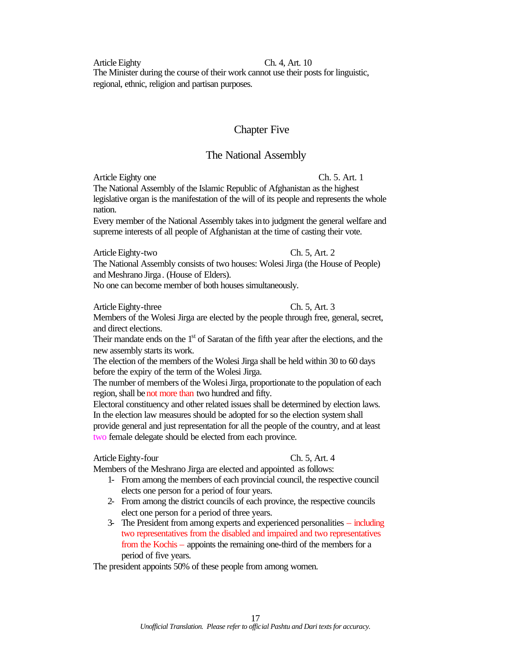Article Eighty Ch. 4, Art. 10

The Minister during the course of their work cannot use their posts for linguistic, regional, ethnic, religion and partisan purposes.

# Chapter Five

# The National Assembly

Article Eighty one Ch. 5. Art. 1 The National Assembly of the Islamic Republic of Afghanistan as the highest legislative organ is the manifestation of the will of its people and represents the whole nation. Every member of the National Assembly takes into judgment the general welfare and supreme interests of all people of Afghanistan at the time of casting their vote. Article Eighty-two Ch. 5, Art. 2 The National Assembly consists of two houses: Wolesi Jirga (the House of People) and Meshrano Jirga. (House of Elders). No one can become member of both houses simultaneously. Article Eighty-three Ch. 5, Art. 3 Members of the Wolesi Jirga are elected by the people through free, general, secret, and direct elections. Their mandate ends on the  $1<sup>st</sup>$  of Saratan of the fifth year after the elections, and the new assembly starts its work. The election of the members of the Wolesi Jirga shall be held within 30 to 60 days before the expiry of the term of the Wolesi Jirga. The number of members of the Wolesi Jirga, proportionate to the population of each region, shall be not more than two hundred and fifty. Electoral constituency and other related issues shall be determined by election laws. In the election law measures should be adopted for so the election system shall provide general and just representation for all the people of the country, and at least two female delegate should be elected from each province. Article Eighty-four Ch. 5, Art. 4

Members of the Meshrano Jirga are elected and appointed as follows:

- 1- From among the members of each provincial council, the respective council elects one person for a period of four years.
- 2- From among the district councils of each province, the respective councils elect one person for a period of three years.
- 3- The President from among experts and experienced personalities including two representatives from the disabled and impaired and two representatives from the Kochis – appoints the remaining one-third of the members for a period of five years.

The president appoints 50% of these people from among women.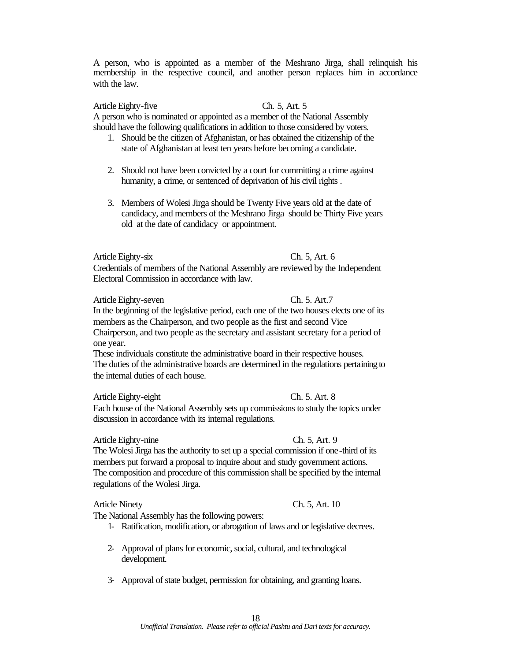A person, who is appointed as a member of the Meshrano Jirga, shall relinquish his membership in the respective council, and another person replaces him in accordance with the law.

Article Eighty-five Ch. 5, Art. 5 A person who is nominated or appointed as a member of the National Assembly should have the following qualifications in addition to those considered by voters.

- 1. Should be the citizen of Afghanistan, or has obtained the citizenship of the state of Afghanistan at least ten years before becoming a candidate.
- 2. Should not have been convicted by a court for committing a crime against humanity, a crime, or sentenced of deprivation of his civil rights.
- 3. Members of Wolesi Jirga should be Twenty Five years old at the date of candidacy, and members of the Meshrano Jirga should be Thirty Five years old at the date of candidacy or appointment.

Article Eighty-six Ch. 5, Art. 6 Credentials of members of the National Assembly are reviewed by the Independent Electoral Commission in accordance with law.

Article Eighty-seven Ch. 5. Art.7 In the beginning of the legislative period, each one of the two houses elects one of its members as the Chairperson, and two people as the first and second Vice Chairperson, and two people as the secretary and assistant secretary for a period of one year.

These individuals constitute the administrative board in their respective houses. The duties of the administrative boards are determined in the regulations pertaining to the internal duties of each house.

Article Eighty-eight Ch. 5. Art. 8 Each house of the National Assembly sets up commissions to study the topics under discussion in accordance with its internal regulations.

Article Eighty-nine Ch. 5, Art. 9

The Wolesi Jirga has the authority to set up a special commission if one-third of its members put forward a proposal to inquire about and study government actions. The composition and procedure of this commission shall be specified by the internal regulations of the Wolesi Jirga.

Article Ninety Ch. 5, Art. 10

The National Assembly has the following powers:

- 1- Ratification, modification, or abrogation of laws and or legislative decrees.
- 2- Approval of plans for economic, social, cultural, and technological development.
- 3- Approval of state budget, permission for obtaining, and granting loans.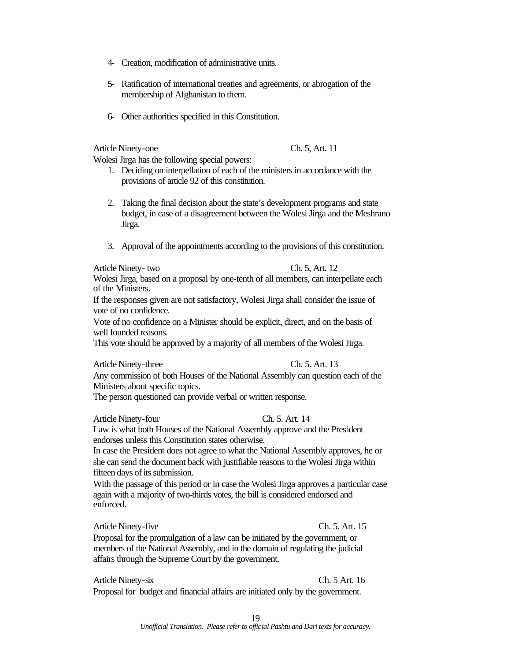- 4- Creation, modification of administrative units.
- 5- Ratification of international treaties and agreements, or abrogation of the membership of Afghanistan to them.
- 6- Other authorities specified in this Constitution.

Article Ninety-one Ch. 5, Art. 11

Wolesi Jirga has the following special powers:

- 1. Deciding on interpellation of each of the ministers in accordance with the provisions of article 92 of this constitution.
- 2. Taking the final decision about the state's development programs and state budget, in case of a disagreement between the Wolesi Jirga and the Meshrano Jirga.
- 3. Approval of the appointments according to the provisions of this constitution.

Article Ninety- two Ch. 5, Art. 12

Wolesi Jirga, based on a proposal by one-tenth of all members, can interpellate each of the Ministers.

If the responses given are not satisfactory, Wolesi Jirga shall consider the issue of vote of no confidence.

Vote of no confidence on a Minister should be explicit, direct, and on the basis of well founded reasons.

This vote should be approved by a majority of all members of the Wolesi Jirga.

Article Ninety-three Ch. 5. Art. 13

Any commission of both Houses of the National Assembly can question each of the Ministers about specific topics.

The person questioned can provide verbal or written response.

Article Ninety-four Ch. 5. Art. 14 Law is what both Houses of the National Assembly approve and the President endorses unless this Constitution states otherwise.

In case the President does not agree to what the National Assembly approves, he or she can send the document back with justifiable reasons to the Wolesi Jirga within fifteen days of its submission.

With the passage of this period or in case the Wolesi Jirga approves a particular case again with a majority of two-thirds votes, the bill is considered endorsed and enforced.

Article Ninety-five Ch. 5. Art. 15

Proposal for the promulgation of a law can be initiated by the government, or members of the National Assembly, and in the domain of regulating the judicial affairs through the Supreme Court by the government.

Article Ninety-six Ch. 5 Art. 16 Proposal for budget and financial affairs are initiated only by the government.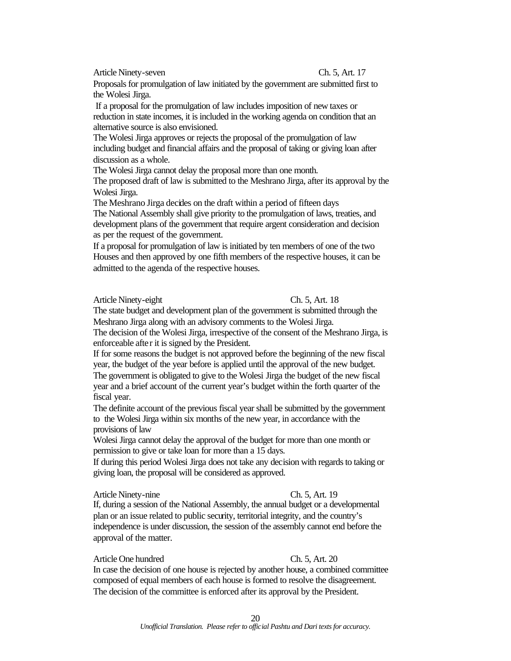Article Ninety-seven Ch. 5, Art. 17

Proposals for promulgation of law initiated by the government are submitted first to the Wolesi Jirga.

 If a proposal for the promulgation of law includes imposition of new taxes or reduction in state incomes, it is included in the working agenda on condition that an alternative source is also envisioned.

The Wolesi Jirga approves or rejects the proposal of the promulgation of law including budget and financial affairs and the proposal of taking or giving loan after discussion as a whole.

The Wolesi Jirga cannot delay the proposal more than one month.

The proposed draft of law is submitted to the Meshrano Jirga, after its approval by the Wolesi Jirga.

The Meshrano Jirga decides on the draft within a period of fifteen days The National Assembly shall give priority to the promulgation of laws, treaties, and development plans of the government that require argent consideration and decision as per the request of the government.

If a proposal for promulgation of law is initiated by ten members of one of the two Houses and then approved by one fifth members of the respective houses, it can be admitted to the agenda of the respective houses.

Article Ninety-eight Ch. 5, Art. 18

The state budget and development plan of the government is submitted through the Meshrano Jirga along with an advisory comments to the Wolesi Jirga.

The decision of the Wolesi Jirga, irrespective of the consent of the Meshrano Jirga, is enforceable after it is signed by the President.

If for some reasons the budget is not approved before the beginning of the new fiscal year, the budget of the year before is applied until the approval of the new budget. The government is obligated to give to the Wolesi Jirga the budget of the new fiscal year and a brief account of the current year's budget within the forth quarter of the fiscal year.

The definite account of the previous fiscal year shall be submitted by the government to the Wolesi Jirga within six months of the new year, in accordance with the provisions of law

Wolesi Jirga cannot delay the approval of the budget for more than one month or permission to give or take loan for more than a 15 days.

If during this period Wolesi Jirga does not take any decision with regards to taking or giving loan, the proposal will be considered as approved.

Article Ninety-nine Ch. 5, Art. 19

If, during a session of the National Assembly, the annual budget or a developmental plan or an issue related to public security, territorial integrity, and the country's independence is under discussion, the session of the assembly cannot end before the approval of the matter.

Article One hundred Ch. 5, Art. 20

In case the decision of one house is rejected by another house, a combined committee composed of equal members of each house is formed to resolve the disagreement. The decision of the committee is enforced after its approval by the President.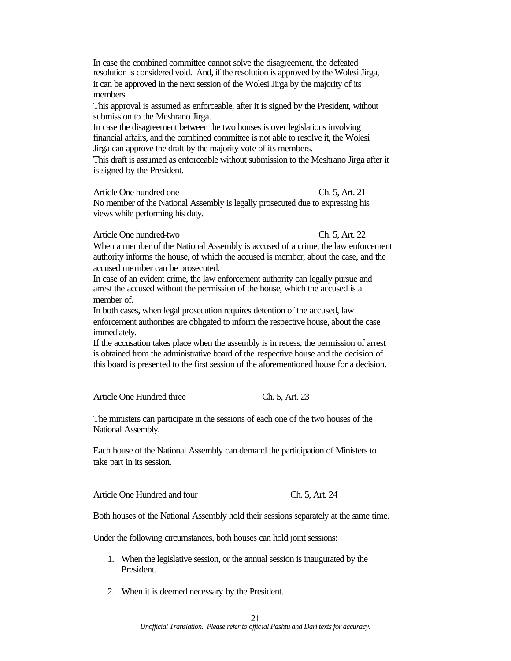In case the combined committee cannot solve the disagreement, the defeated resolution is considered void. And, if the resolution is approved by the Wolesi Jirga, it can be approved in the next session of the Wolesi Jirga by the majority of its members.

This approval is assumed as enforceable, after it is signed by the President, without submission to the Meshrano Jirga.

In case the disagreement between the two houses is over legislations involving financial affairs, and the combined committee is not able to resolve it, the Wolesi Jirga can approve the draft by the majority vote of its members.

This draft is assumed as enforceable without submission to the Meshrano Jirga after it is signed by the President.

### Article One hundred-one Ch. 5, Art. 21

No member of the National Assembly is legally prosecuted due to expressing his views while performing his duty.

### Article One hundred-two Ch. 5, Art. 22

When a member of the National Assembly is accused of a crime, the law enforcement authority informs the house, of which the accused is member, about the case, and the accused member can be prosecuted.

In case of an evident crime, the law enforcement authority can legally pursue and arrest the accused without the permission of the house, which the accused is a member of.

In both cases, when legal prosecution requires detention of the accused, law enforcement authorities are obligated to inform the respective house, about the case immediately.

If the accusation takes place when the assembly is in recess, the permission of arrest is obtained from the administrative board of the respective house and the decision of this board is presented to the first session of the aforementioned house for a decision.

Article One Hundred three Ch. 5, Art. 23

The ministers can participate in the sessions of each one of the two houses of the National Assembly.

Each house of the National Assembly can demand the participation of Ministers to take part in its session.

Article One Hundred and four Ch. 5, Art. 24

Both houses of the National Assembly hold their sessions separately at the same time.

Under the following circumstances, both houses can hold joint sessions:

- 1. When the legislative session, or the annual session is inaugurated by the President.
- 2. When it is deemed necessary by the President.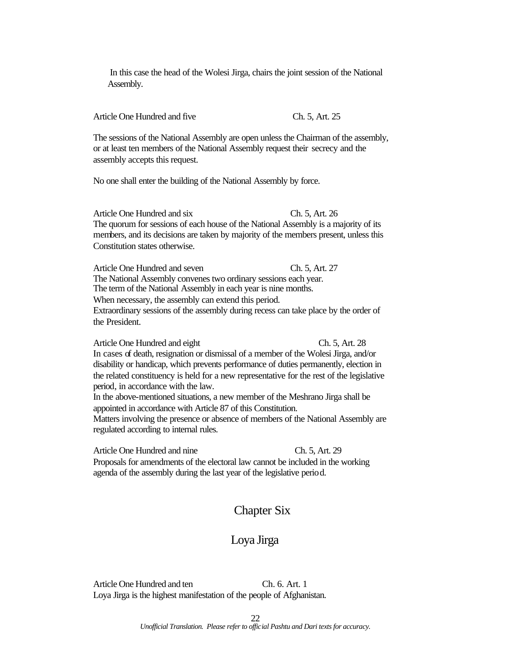In this case the head of the Wolesi Jirga, chairs the joint session of the National Assembly.

Article One Hundred and five Ch. 5, Art. 25

The sessions of the National Assembly are open unless the Chairman of the assembly, or at least ten members of the National Assembly request their secrecy and the assembly accepts this request.

No one shall enter the building of the National Assembly by force.

Article One Hundred and six Ch. 5, Art. 26 The quorum for sessions of each house of the National Assembly is a majority of its members, and its decisions are taken by majority of the members present, unless this Constitution states otherwise.

Article One Hundred and seven Ch. 5, Art. 27 The National Assembly convenes two ordinary sessions each year. The term of the National Assembly in each year is nine months. When necessary, the assembly can extend this period. Extraordinary sessions of the assembly during recess can take place by the order of the President.

Article One Hundred and eight Ch. 5, Art. 28 In cases of death, resignation or dismissal of a member of the Wolesi Jirga, and/or disability or handicap, which prevents performance of duties permanently, election in the related constituency is held for a new representative for the rest of the legislative period, in accordance with the law.

In the above-mentioned situations, a new member of the Meshrano Jirga shall be appointed in accordance with Article 87 of this Constitution.

Matters involving the presence or absence of members of the National Assembly are regulated according to internal rules.

Article One Hundred and nine Ch. 5, Art. 29 Proposals for amendments of the electoral law cannot be included in the working agenda of the assembly during the last year of the legislative period.

# Chapter Six

# Loya Jirga

Article One Hundred and ten Ch. 6. Art. 1 Loya Jirga is the highest manifestation of the people of Afghanistan.

> *Unofficial Translation. Please refer to official Pashtu and Dari texts for accuracy.* 22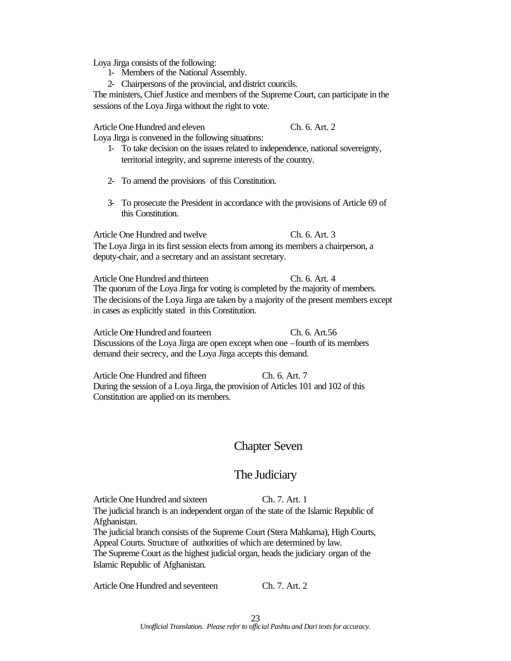Loya Jirga consists of the following:

1- Members of the National Assembly.

2- Chairpersons of the provincial, and district councils.

The ministers, Chief Justice and members of the Supreme Court, can participate in the sessions of the Loya Jirga without the right to vote.

Article One Hundred and eleven Ch. 6. Art. 2

Loya Jirga is convened in the following situations:

- 1- To take decision on the issues related to independence, national sovereignty, territorial integrity, and supreme interests of the country.
- 2- To amend the provisions of this Constitution.
- 3- To prosecute the President in accordance with the provisions of Article 69 of this Constitution.

Article One Hundred and twelve Ch. 6. Art. 3 The Loya Jirga in its first session elects from among its members a chairperson, a deputy-chair, and a secretary and an assistant secretary.

Article One Hundred and thirteen Ch. 6. Art. 4 The quorum of the Loya Jirga for voting is completed by the majority of members. The decisions of the Loya Jirga are taken by a majority of the present members except in cases as explicitly stated in this Constitution.

Article One Hundred and fourteen Ch. 6. Art. 56 Discussions of the Loya Jirga are open except when one –fourth of its members demand their secrecy, and the Loya Jirga accepts this demand.

Article One Hundred and fifteen Ch. 6. Art. 7 During the session of a Loya Jirga, the provision of Articles 101 and 102 of this Constitution are applied on its members.

# Chapter Seven

# The Judiciary

Article One Hundred and sixteen Ch. 7. Art. 1 The judicial branch is an independent organ of the state of the Islamic Republic of Afghanistan. The judicial branch consists of the Supreme Court (Stera Mahkama), High Courts, Appeal Courts. Structure of authorities of which are determined by law. The Supreme Court as the highest judicial organ, heads the judiciary organ of the Islamic Republic of Afghanistan.

Article One Hundred and seventeen Ch. 7. Art. 2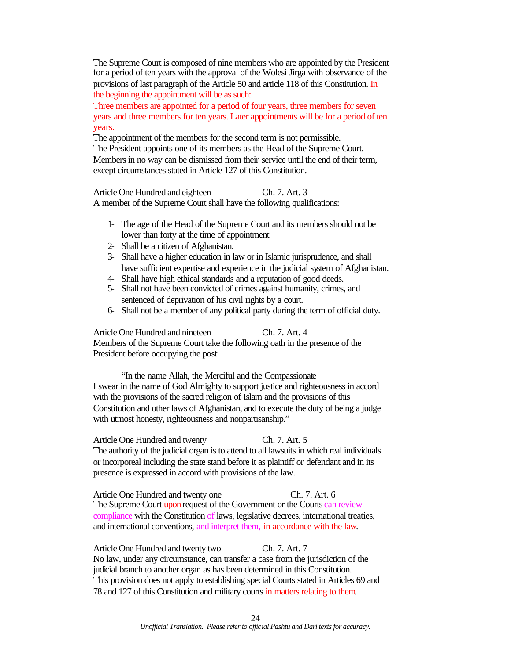The Supreme Court is composed of nine members who are appointed by the President for a period of ten years with the approval of the Wolesi Jirga with observance of the provisions of last paragraph of the Article 50 and article 118 of this Constitution. In the beginning the appointment will be as such:

Three members are appointed for a period of four years, three members for seven years and three members for ten years. Later appointments will be for a period of ten years.

The appointment of the members for the second term is not permissible. The President appoints one of its members as the Head of the Supreme Court. Members in no way can be dismissed from their service until the end of their term, except circumstances stated in Article 127 of this Constitution.

Article One Hundred and eighteen Ch. 7. Art. 3 A member of the Supreme Court shall have the following qualifications:

- 1- The age of the Head of the Supreme Court and its members should not be lower than forty at the time of appointment
- 2- Shall be a citizen of Afghanistan.
- 3- Shall have a higher education in law or in Islamic jurisprudence, and shall have sufficient expertise and experience in the judicial system of Afghanistan.
- 4- Shall have high ethical standards and a reputation of good deeds.
- 5- Shall not have been convicted of crimes against humanity, crimes, and sentenced of deprivation of his civil rights by a court.
- 6- Shall not be a member of any political party during the term of official duty.

Article One Hundred and nineteen Ch. 7. Art. 4 Members of the Supreme Court take the following oath in the presence of the President before occupying the post:

"In the name Allah, the Merciful and the Compassionate I swear in the name of God Almighty to support justice and righteousness in accord with the provisions of the sacred religion of Islam and the provisions of this Constitution and other laws of Afghanistan, and to execute the duty of being a judge with utmost honesty, righteousness and nonpartisanship."

Article One Hundred and twenty Ch. 7. Art. 5 The authority of the judicial organ is to attend to all lawsuits in which real individuals or incorporeal including the state stand before it as plaintiff or defendant and in its presence is expressed in accord with provisions of the law.

Article One Hundred and twenty one Ch. 7. Art. 6 The Supreme Court upon request of the Government or the Courts can review compliance with the Constitution of laws, legislative decrees, international treaties, and international conventions, and interpret them, in accordance with the law.

Article One Hundred and twenty two Ch. 7. Art. 7 No law, under any circumstance, can transfer a case from the jurisdiction of the judicial branch to another organ as has been determined in this Constitution. This provision does not apply to establishing special Courts stated in Articles 69 and 78 and 127 of this Constitution and military courts in matters relating to them.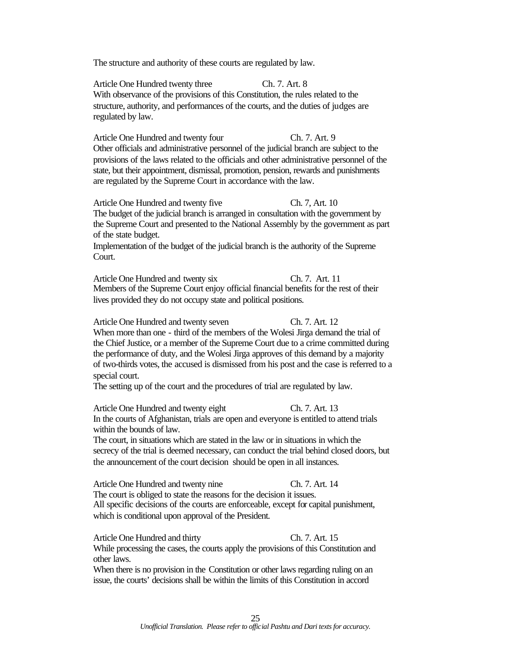The structure and authority of these courts are regulated by law.

Article One Hundred twenty three Ch. 7. Art. 8 With observance of the provisions of this Constitution, the rules related to the structure, authority, and performances of the courts, and the duties of judges are regulated by law.

Article One Hundred and twenty four Ch. 7. Art. 9 Other officials and administrative personnel of the judicial branch are subject to the provisions of the laws related to the officials and other administrative personnel of the state, but their appointment, dismissal, promotion, pension, rewards and punishments are regulated by the Supreme Court in accordance with the law.

Article One Hundred and twenty five Ch. 7, Art. 10 The budget of the judicial branch is arranged in consultation with the government by the Supreme Court and presented to the National Assembly by the government as part of the state budget.

Implementation of the budget of the judicial branch is the authority of the Supreme Court.

Article One Hundred and twenty six Ch. 7. Art. 11 Members of the Supreme Court enjoy official financial benefits for the rest of their lives provided they do not occupy state and political positions.

Article One Hundred and twenty seven Ch. 7. Art. 12 When more than one - third of the members of the Wolesi Jirga demand the trial of the Chief Justice, or a member of the Supreme Court due to a crime committed during the performance of duty, and the Wolesi Jirga approves of this demand by a majority of two-thirds votes, the accused is dismissed from his post and the case is referred to a special court.

The setting up of the court and the procedures of trial are regulated by law.

Article One Hundred and twenty eight Ch. 7. Art. 13 In the courts of Afghanistan, trials are open and everyone is entitled to attend trials within the bounds of law.

The court, in situations which are stated in the law or in situations in which the secrecy of the trial is deemed necessary, can conduct the trial behind closed doors, but the announcement of the court decision should be open in all instances.

Article One Hundred and twenty nine Ch. 7. Art. 14 The court is obliged to state the reasons for the decision it issues. All specific decisions of the courts are enforceable, except for capital punishment, which is conditional upon approval of the President.

Article One Hundred and thirty Ch. 7. Art. 15 While processing the cases, the courts apply the provisions of this Constitution and other laws.

When there is no provision in the Constitution or other laws regarding ruling on an issue, the courts' decisions shall be within the limits of this Constitution in accord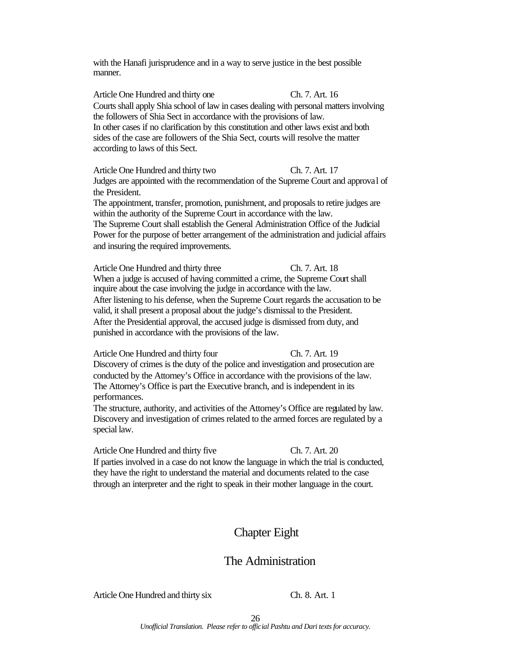with the Hanafi jurisprudence and in a way to serve justice in the best possible manner.

Article One Hundred and thirty one Ch. 7. Art. 16 Courts shall apply Shia school of law in cases dealing with personal matters involving the followers of Shia Sect in accordance with the provisions of law. In other cases if no clarification by this constitution and other laws exist and both sides of the case are followers of the Shia Sect, courts will resolve the matter according to laws of this Sect.

Article One Hundred and thirty two Ch. 7. Art. 17 Judges are appointed with the recommendation of the Supreme Court and approval of the President.

The appointment, transfer, promotion, punishment, and proposals to retire judges are within the authority of the Supreme Court in accordance with the law. The Supreme Court shall establish the General Administration Office of the Judicial Power for the purpose of better arrangement of the administration and judicial affairs and insuring the required improvements.

Article One Hundred and thirty three Ch. 7. Art. 18 When a judge is accused of having committed a crime, the Supreme Court shall inquire about the case involving the judge in accordance with the law. After listening to his defense, when the Supreme Court regards the accusation to be valid, it shall present a proposal about the judge's dismissal to the President. After the Presidential approval, the accused judge is dismissed from duty, and punished in accordance with the provisions of the law.

Article One Hundred and thirty four Ch. 7. Art. 19 Discovery of crimes is the duty of the police and investigation and prosecution are conducted by the Attorney's Office in accordance with the provisions of the law. The Attorney's Office is part the Executive branch, and is independent in its performances.

The structure, authority, and activities of the Attorney's Office are regulated by law. Discovery and investigation of crimes related to the armed forces are regulated by a special law.

Article One Hundred and thirty five Ch. 7. Art. 20 If parties involved in a case do not know the language in which the trial is conducted, they have the right to understand the material and documents related to the case through an interpreter and the right to speak in their mother language in the court.

# Chapter Eight

# The Administration

Article One Hundred and thirty six Ch. 8. Art. 1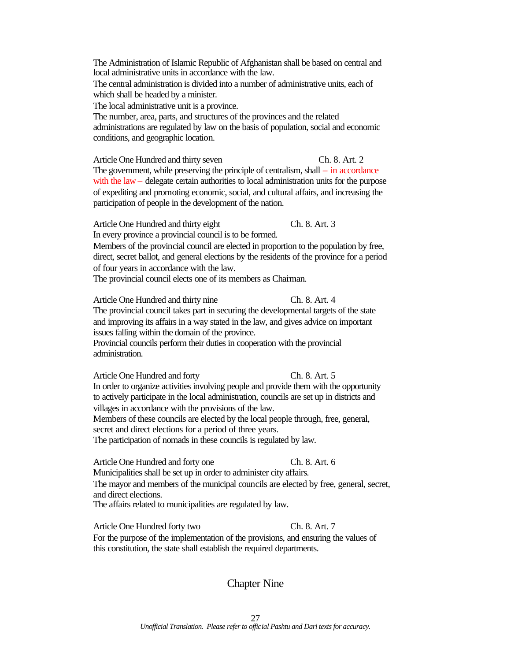The Administration of Islamic Republic of Afghanistan shall be based on central and local administrative units in accordance with the law.

The central administration is divided into a number of administrative units, each of which shall be headed by a minister.

The local administrative unit is a province.

The number, area, parts, and structures of the provinces and the related administrations are regulated by law on the basis of population, social and economic conditions, and geographic location.

Article One Hundred and thirty seven Ch. 8. Art. 2 The government, while preserving the principle of centralism, shall – in accordance with the law – delegate certain authorities to local administration units for the purpose of expediting and promoting economic, social, and cultural affairs, and increasing the participation of people in the development of the nation.

Article One Hundred and thirty eight Ch. 8. Art. 3 In every province a provincial council is to be formed.

Members of the provincial council are elected in proportion to the population by free, direct, secret ballot, and general elections by the residents of the province for a period of four years in accordance with the law.

The provincial council elects one of its members as Chairman.

Article One Hundred and thirty nine Ch. 8. Art. 4 The provincial council takes part in securing the developmental targets of the state and improving its affairs in a way stated in the law, and gives advice on important issues falling within the domain of the province. Provincial councils perform their duties in cooperation with the provincial administration.

Article One Hundred and forty Ch. 8. Art. 5 In order to organize activities involving people and provide them with the opportunity to actively participate in the local administration, councils are set up in districts and villages in accordance with the provisions of the law. Members of these councils are elected by the local people through, free, general, secret and direct elections for a period of three years. The participation of nomads in these councils is regulated by law.

Article One Hundred and forty one Ch. 8. Art. 6 Municipalities shall be set up in order to administer city affairs. The mayor and members of the municipal councils are elected by free, general, secret, and direct elections. The affairs related to municipalities are regulated by law.

Article One Hundred forty two Ch. 8. Art. 7 For the purpose of the implementation of the provisions, and ensuring the values of this constitution, the state shall establish the required departments.

Chapter Nine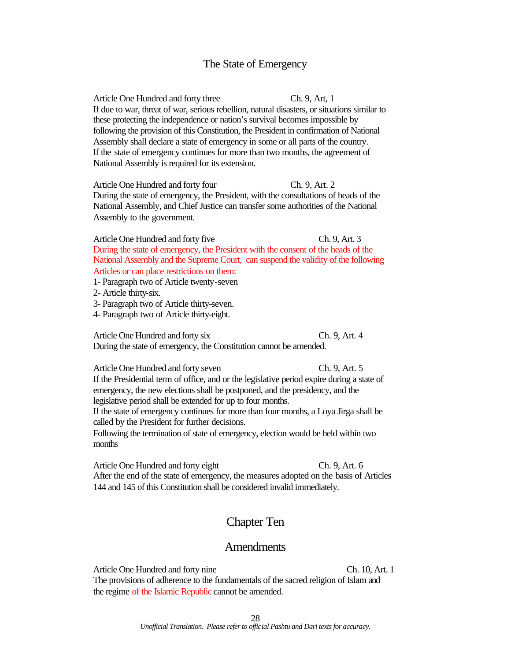# The State of Emergency

Article One Hundred and forty three Ch. 9, Art, 1 If due to war, threat of war, serious rebellion, natural disasters, or situations similar to these protecting the independence or nation's survival becomes impossible by following the provision of this Constitution, the President in confirmation of National Assembly shall declare a state of emergency in some or all parts of the country. If the state of emergency continues for more than two months, the agreement of National Assembly is required for its extension.

Article One Hundred and forty four Ch. 9, Art. 2 During the state of emergency, the President, with the consultations of heads of the National Assembly, and Chief Justice can transfer some authorities of the National Assembly to the government.

Article One Hundred and forty five Ch. 9, Art. 3 During the state of emergency, the President with the consent of the heads of the National Assembly and the Supreme Court, can suspend the validity of the following Articles or can place restrictions on them:

1- Paragraph two of Article twenty-seven

2- Article thirty-six.

- 3- Paragraph two of Article thirty-seven.
- 4- Paragraph two of Article thirty-eight.

Article One Hundred and forty six Ch. 9, Art. 4 During the state of emergency, the Constitution cannot be amended.

Article One Hundred and forty seven Ch. 9, Art. 5

If the Presidential term of office, and or the legislative period expire during a state of emergency, the new elections shall be postponed, and the presidency, and the legislative period shall be extended for up to four months.

If the state of emergency continues for more than four months, a Loya Jirga shall be called by the President for further decisions.

Following the termination of state of emergency, election would be held within two months

Article One Hundred and forty eight Ch. 9, Art. 6 After the end of the state of emergency, the measures adopted on the basis of Articles 144 and 145 of this Constitution shall be considered invalid immediately.

# Chapter Ten

# **Amendments**

Article One Hundred and forty nine Ch. 10, Art. 1 The provisions of adherence to the fundamentals of the sacred religion of Islam and the regime of the Islamic Republic cannot be amended.

28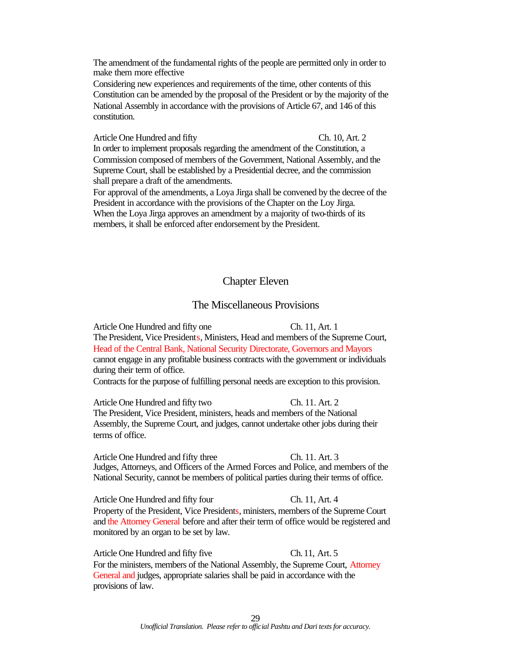The amendment of the fundamental rights of the people are permitted only in order to make them more effective

Considering new experiences and requirements of the time, other contents of this Constitution can be amended by the proposal of the President or by the majority of the National Assembly in accordance with the provisions of Article 67, and 146 of this constitution.

Article One Hundred and fifty Ch. 10, Art. 2

In order to implement proposals regarding the amendment of the Constitution, a Commission composed of members of the Government, National Assembly, and the Supreme Court, shall be established by a Presidential decree, and the commission shall prepare a draft of the amendments.

For approval of the amendments, a Loya Jirga shall be convened by the decree of the President in accordance with the provisions of the Chapter on the Loy Jirga. When the Loya Jirga approves an amendment by a majority of two-thirds of its members, it shall be enforced after endorsement by the President.

### Chapter Eleven

### The Miscellaneous Provisions

Article One Hundred and fifty one Ch. 11, Art. 1 The President, Vice Presidents, Ministers, Head and members of the Supreme Court, Head of the Central Bank, National Security Directorate, Governors and Mayors cannot engage in any profitable business contracts with the government or individuals during their term of office.

Contracts for the purpose of fulfilling personal needs are exception to this provision.

Article One Hundred and fifty two Ch. 11. Art. 2 The President, Vice President, ministers, heads and members of the National Assembly, the Supreme Court, and judges, cannot undertake other jobs during their terms of office.

Article One Hundred and fifty three Ch. 11. Art. 3 Judges, Attorneys, and Officers of the Armed Forces and Police, and members of the National Security, cannot be members of political parties during their terms of office.

Article One Hundred and fifty four Ch. 11, Art. 4 Property of the President, Vice Presidents, ministers, members of the Supreme Court and the Attorney General before and after their term of office would be registered and monitored by an organ to be set by law.

Article One Hundred and fifty five Ch. 11, Art. 5 For the ministers, members of the National Assembly, the Supreme Court, Attorney General and judges, appropriate salaries shall be paid in accordance with the provisions of law.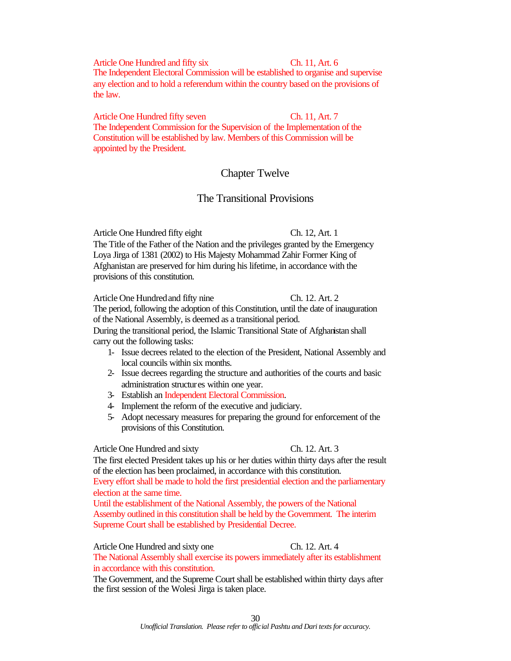Article One Hundred and fifty six Ch. 11, Art. 6 The Independent Electoral Commission will be established to organise and supervise any election and to hold a referendum within the country based on the provisions of the law.

Article One Hundred fifty seven Ch. 11, Art. 7 The Independent Commission for the Supervision of the Implementation of the Constitution will be established by law. Members of this Commission will be appointed by the President.

# Chapter Twelve

# The Transitional Provisions

Article One Hundred fifty eight Ch. 12, Art. 1 The Title of the Father of the Nation and the privileges granted by the Emergency Loya Jirga of 1381 (2002) to His Majesty Mohammad Zahir Former King of Afghanistan are preserved for him during his lifetime, in accordance with the provisions of this constitution.

Article One Hundred and fifty nine Ch. 12. Art. 2 The period, following the adoption of this Constitution, until the date of inauguration of the National Assembly, is deemed as a transitional period. During the transitional period, the Islamic Transitional State of Afghanistan shall carry out the following tasks:

- 1- Issue decrees related to the election of the President, National Assembly and local councils within six months.
- 2- Issue decrees regarding the structure and authorities of the courts and basic administration structures within one year.
- 3- Establish an Independent Electoral Commission.
- 4- Implement the reform of the executive and judiciary.
- 5- Adopt necessary measures for preparing the ground for enforcement of the provisions of this Constitution.

### Article One Hundred and sixty Ch. 12. Art. 3

The first elected President takes up his or her duties within thirty days after the result of the election has been proclaimed, in accordance with this constitution.

Every effort shall be made to hold the first presidential election and the parliamentary election at the same time.

Until the establishment of the National Assembly, the powers of the National Assemby outlined in this constitution shall be held by the Government. The interim Supreme Court shall be established by Presidential Decree.

Article One Hundred and sixty one Ch. 12. Art. 4 The National Assembly shall exercise its powers immediately after its establishment in accordance with this constitution.

The Government, and the Supreme Court shall be established within thirty days after the first session of the Wolesi Jirga is taken place.